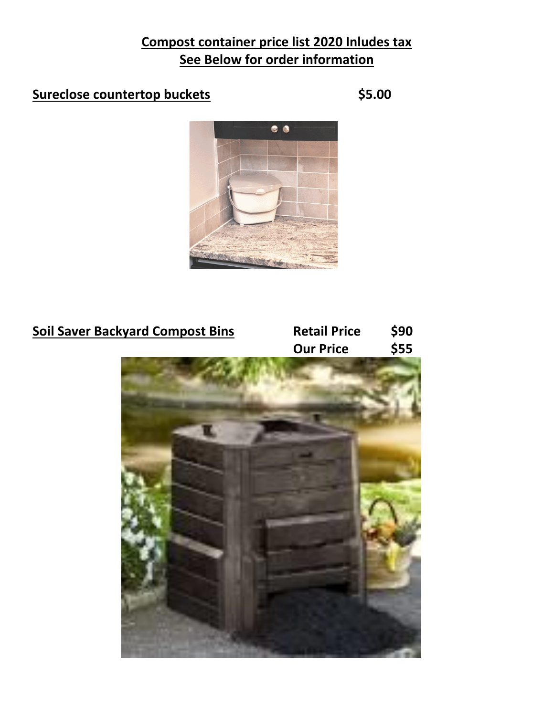## **Compost container price list 2020 Inludes tax See Below for order information**

## **Sureclose countertop buckets \$5.00**